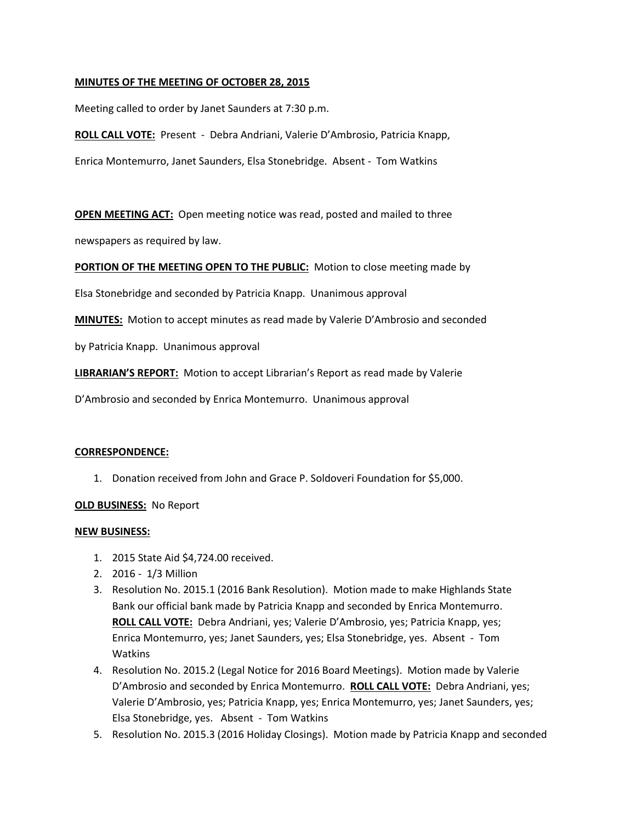# **MINUTES OF THE MEETING OF OCTOBER 28, 2015**

Meeting called to order by Janet Saunders at 7:30 p.m.

**ROLL CALL VOTE:** Present - Debra Andriani, Valerie D'Ambrosio, Patricia Knapp, Enrica Montemurro, Janet Saunders, Elsa Stonebridge. Absent - Tom Watkins

**OPEN MEETING ACT:** Open meeting notice was read, posted and mailed to three

newspapers as required by law.

**PORTION OF THE MEETING OPEN TO THE PUBLIC:** Motion to close meeting made by

Elsa Stonebridge and seconded by Patricia Knapp. Unanimous approval

**MINUTES:** Motion to accept minutes as read made by Valerie D'Ambrosio and seconded

by Patricia Knapp. Unanimous approval

**LIBRARIAN'S REPORT:** Motion to accept Librarian's Report as read made by Valerie

D'Ambrosio and seconded by Enrica Montemurro. Unanimous approval

### **CORRESPONDENCE:**

1. Donation received from John and Grace P. Soldoveri Foundation for \$5,000.

### **OLD BUSINESS:** No Report

### **NEW BUSINESS:**

- 1. 2015 State Aid \$4,724.00 received.
- 2. 2016 1/3 Million
- 3. Resolution No. 2015.1 (2016 Bank Resolution). Motion made to make Highlands State Bank our official bank made by Patricia Knapp and seconded by Enrica Montemurro. **ROLL CALL VOTE:** Debra Andriani, yes; Valerie D'Ambrosio, yes; Patricia Knapp, yes; Enrica Montemurro, yes; Janet Saunders, yes; Elsa Stonebridge, yes. Absent - Tom Watkins
- 4. Resolution No. 2015.2 (Legal Notice for 2016 Board Meetings). Motion made by Valerie D'Ambrosio and seconded by Enrica Montemurro. **ROLL CALL VOTE:** Debra Andriani, yes; Valerie D'Ambrosio, yes; Patricia Knapp, yes; Enrica Montemurro, yes; Janet Saunders, yes; Elsa Stonebridge, yes. Absent - Tom Watkins
- 5. Resolution No. 2015.3 (2016 Holiday Closings). Motion made by Patricia Knapp and seconded